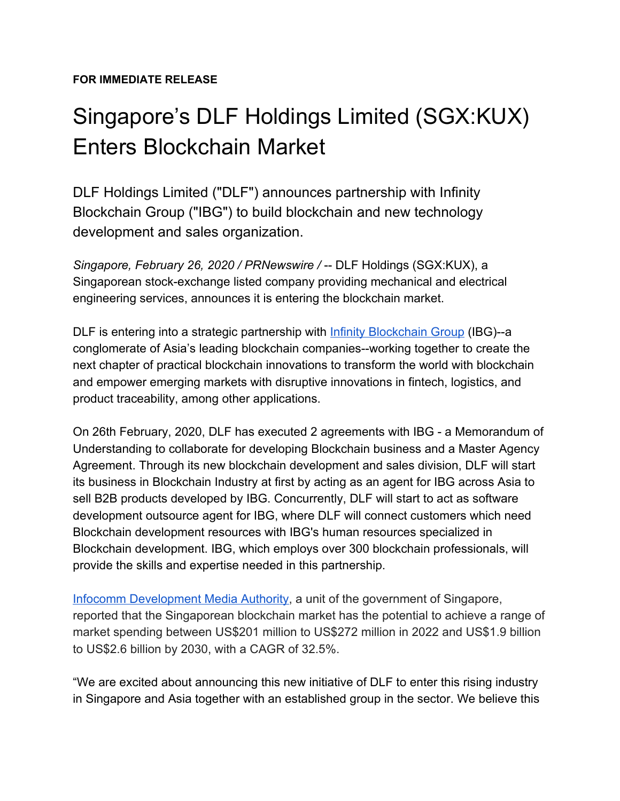## Singapore's DLF Holdings Limited (SGX:KUX) Enters Blockchain Market

DLF Holdings Limited ("DLF") announces partnership with Infinity Blockchain Group ("IBG") to build blockchain and new technology development and sales organization.

*Singapore, February 26, 2020 / PRNewswire /* -- DLF Holdings (SGX:KUX), a Singaporean stock-exchange listed company providing mechanical and electrical engineering services, announces it is entering the blockchain market.

DLF is entering into a strategic partnership with [Infinity Blockchain Group](https://infinityblockchaingroup.com/) (IBG)--a conglomerate of Asia's leading blockchain companies--working together to create the next chapter of practical blockchain innovations to transform the world with blockchain and empower emerging markets with disruptive innovations in fintech, logistics, and product traceability, among other applications.

On 26th February, 2020, DLF has executed 2 agreements with IBG - a Memorandum of Understanding to collaborate for developing Blockchain business and a Master Agency Agreement. Through its new blockchain development and sales division, DLF will start its business in Blockchain Industry at first by acting as an agent for IBG across Asia to sell B2B products developed by IBG. Concurrently, DLF will start to act as software development outsource agent for IBG, where DLF will connect customers which need Blockchain development resources with IBG's human resources specialized in Blockchain development. IBG, which employs over 300 blockchain professionals, will provide the skills and expertise needed in this partnership.

[Infocomm Development Media Authority,](https://www.imda.gov.sg/-/media/Imda/Files/Industry-Development/Infrastructure/Technology/Technology-Roadmap/WG4-Executive-Summary-for-Artificial-Intelligence-and-Data-and-Blockchain.pdf) a unit of the government of Singapore, reported that the Singaporean blockchain market has the potential to achieve a range of market spending between US\$201 million to US\$272 million in 2022 and US\$1.9 billion to US\$2.6 billion by 2030, with a CAGR of 32.5%.

"We are excited about announcing this new initiative of DLF to enter this rising industry in Singapore and Asia together with an established group in the sector. We believe this